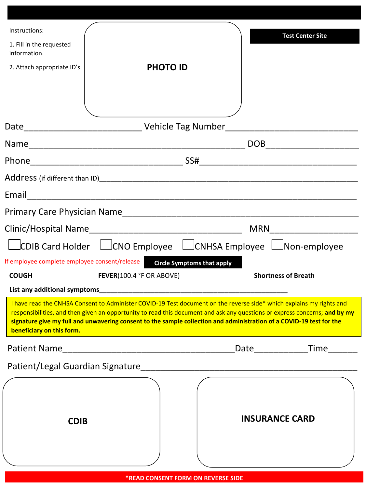| Instructions:<br>1. Fill in the requested<br>information.<br>2. Attach appropriate ID's                                                                                                                                       | <b>PHOTO ID</b>                                                                                                                                                                                                                                                                                                                                                            |                                   | <b>Test Center Site</b>     |
|-------------------------------------------------------------------------------------------------------------------------------------------------------------------------------------------------------------------------------|----------------------------------------------------------------------------------------------------------------------------------------------------------------------------------------------------------------------------------------------------------------------------------------------------------------------------------------------------------------------------|-----------------------------------|-----------------------------|
|                                                                                                                                                                                                                               |                                                                                                                                                                                                                                                                                                                                                                            |                                   |                             |
|                                                                                                                                                                                                                               |                                                                                                                                                                                                                                                                                                                                                                            |                                   |                             |
|                                                                                                                                                                                                                               |                                                                                                                                                                                                                                                                                                                                                                            |                                   |                             |
|                                                                                                                                                                                                                               |                                                                                                                                                                                                                                                                                                                                                                            |                                   |                             |
| Email                                                                                                                                                                                                                         |                                                                                                                                                                                                                                                                                                                                                                            |                                   |                             |
|                                                                                                                                                                                                                               |                                                                                                                                                                                                                                                                                                                                                                            |                                   |                             |
|                                                                                                                                                                                                                               |                                                                                                                                                                                                                                                                                                                                                                            | <b>MRN</b>                        |                             |
|                                                                                                                                                                                                                               | $\Box$ CDIB Card Holder $\Box$ CNO Employee $\Box$ CNHSA Employee $\Box$ Non-employee                                                                                                                                                                                                                                                                                      |                                   |                             |
| If employee complete employee consent/release                                                                                                                                                                                 |                                                                                                                                                                                                                                                                                                                                                                            | <b>Circle Symptoms that apply</b> |                             |
| <b>COUGH</b>                                                                                                                                                                                                                  | FEVER(100.4 °F OR ABOVE)                                                                                                                                                                                                                                                                                                                                                   |                                   | <b>Shortness of Breath</b>  |
| List any additional symptoms example and a series of the state of the state of the state of the state of the state of the state of the state of the state of the state of the state of the state of the state of the state of |                                                                                                                                                                                                                                                                                                                                                                            |                                   |                             |
| beneficiary on this form.                                                                                                                                                                                                     | I have read the CNHSA Consent to Administer COVID-19 Test document on the reverse side* which explains my rights and<br>responsibilities, and then given an opportunity to read this document and ask any questions or express concerns; and by my<br>signature give my full and unwavering consent to the sample collection and administration of a COVID-19 test for the |                                   |                             |
|                                                                                                                                                                                                                               |                                                                                                                                                                                                                                                                                                                                                                            |                                   | Date_________________Time__ |
| Patient/Legal Guardian Signature                                                                                                                                                                                              |                                                                                                                                                                                                                                                                                                                                                                            |                                   |                             |
| <b>CDIB</b>                                                                                                                                                                                                                   |                                                                                                                                                                                                                                                                                                                                                                            | <b>INSURANCE CARD</b>             |                             |